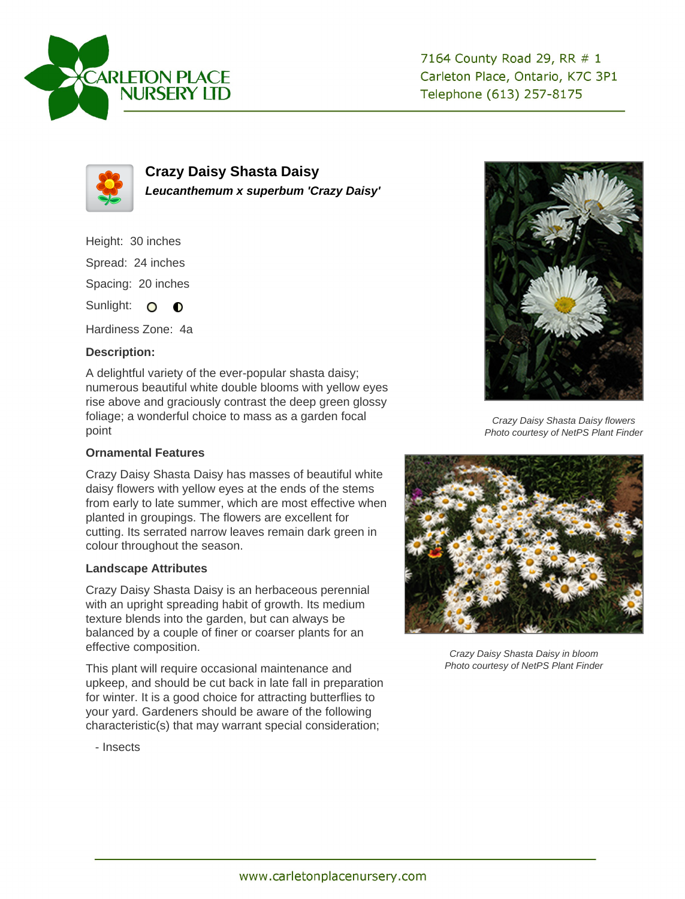



**Crazy Daisy Shasta Daisy Leucanthemum x superbum 'Crazy Daisy'**

Height: 30 inches

Spread: 24 inches

Spacing: 20 inches

Sunlight: O O

Hardiness Zone: 4a

## **Description:**

A delightful variety of the ever-popular shasta daisy; numerous beautiful white double blooms with yellow eyes rise above and graciously contrast the deep green glossy foliage; a wonderful choice to mass as a garden focal point

## **Ornamental Features**

Crazy Daisy Shasta Daisy has masses of beautiful white daisy flowers with yellow eyes at the ends of the stems from early to late summer, which are most effective when planted in groupings. The flowers are excellent for cutting. Its serrated narrow leaves remain dark green in colour throughout the season.

## **Landscape Attributes**

Crazy Daisy Shasta Daisy is an herbaceous perennial with an upright spreading habit of growth. Its medium texture blends into the garden, but can always be balanced by a couple of finer or coarser plants for an effective composition.

This plant will require occasional maintenance and upkeep, and should be cut back in late fall in preparation for winter. It is a good choice for attracting butterflies to your yard. Gardeners should be aware of the following characteristic(s) that may warrant special consideration;



Crazy Daisy Shasta Daisy flowers Photo courtesy of NetPS Plant Finder



Crazy Daisy Shasta Daisy in bloom Photo courtesy of NetPS Plant Finder

- Insects